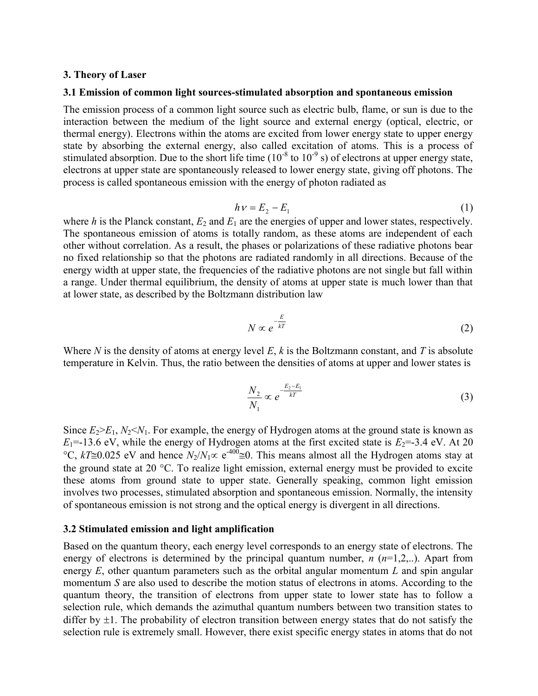#### 3. Theory of Laser

#### 3.1 Emission of common light sources-stimulated absorption and spontaneous emission

The emission process of a common light source such as electric bulb, flame, or sun is due to the interaction between the medium of the light source and external energy (optical, electric, or thermal energy). Electrons within the atoms are excited from lower energy state to upper energy state by absorbing the external energy, also called excitation of atoms. This is a process of stimulated absorption. Due to the short life time  $(10^{-8}$  to  $10^{-9}$  s) of electrons at upper energy state, electrons at upper state are spontaneously released to lower energy state, giving off photons. The process is called spontaneous emission with the energy of photon radiated as

$$
h v = E_2 - E_1 \tag{1}
$$

where h is the Planck constant,  $E_2$  and  $E_1$  are the energies of upper and lower states, respectively. The spontaneous emission of atoms is totally random, as these atoms are independent of each other without correlation. As a result, the phases or polarizations of these radiative photons bear no fixed relationship so that the photons are radiated randomly in all directions. Because of the energy width at upper state, the frequencies of the radiative photons are not single but fall within a range. Under thermal equilibrium, the density of atoms at upper state is much lower than that at lower state, as described by the Boltzmann distribution law

$$
N \propto e^{-\frac{E}{kT}} \tag{2}
$$

Where N is the density of atoms at energy level E, k is the Boltzmann constant, and T is absolute temperature in Kelvin. Thus, the ratio between the densities of atoms at upper and lower states is

$$
\frac{N_2}{N_1} \propto e^{-\frac{E_2 - E_1}{kT}}
$$
\n(3)

Since  $E_2>E_1$ ,  $N_2< N_1$ . For example, the energy of Hydrogen atoms at the ground state is known as  $E_1$ =-13.6 eV, while the energy of Hydrogen atoms at the first excited state is  $E_2$ =-3.4 eV. At 20 °C,  $kT\cong 0.025$  eV and hence  $N_2/N_1 \propto e^{-400} \cong 0$ . This means almost all the Hydrogen atoms stay at the ground state at 20  $\degree$ C. To realize light emission, external energy must be provided to excite these atoms from ground state to upper state. Generally speaking, common light emission involves two processes, stimulated absorption and spontaneous emission. Normally, the intensity of spontaneous emission is not strong and the optical energy is divergent in all directions.

#### 3.2 Stimulated emission and light amplification

Based on the quantum theory, each energy level corresponds to an energy state of electrons. The energy of electrons is determined by the principal quantum number,  $n(n=1,2,...)$ . Apart from energy  $E$ , other quantum parameters such as the orbital angular momentum  $L$  and spin angular momentum S are also used to describe the motion status of electrons in atoms. According to the quantum theory, the transition of electrons from upper state to lower state has to follow a selection rule, which demands the azimuthal quantum numbers between two transition states to differ by  $\pm 1$ . The probability of electron transition between energy states that do not satisfy the selection rule is extremely small. However, there exist specific energy states in atoms that do not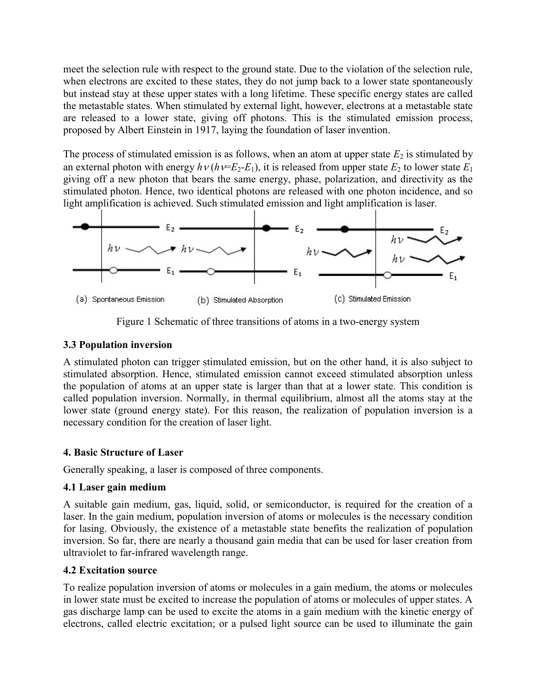meet the selection rule with respect to the ground state. Due to the violation of the selection rule, when electrons are excited to these states, they do not jump back to a lower state spontaneously but instead stay at these upper states with a long lifetime. These specific energy states are called the metastable states. When stimulated by external light, however, electrons at a metastable state are released to a lower state, giving off photons. This is the stimulated emission process, proposed by Albert Einstein in 1917, laying the foundation of laser invention.

The process of stimulated emission is as follows, when an atom at upper state  $E_2$  is stimulated by an external photon with energy  $h v (h v=E_2-E_1)$ , it is released from upper state  $E_2$  to lower state  $E_1$ giving off a new photon that bears the same energy, phase, polarization, and directivity as the stimulated photon. Hence, two identical photons are released with one photon incidence, and so light amplification is achieved. Such stimulated emission and light amplification is laser.



Figure 1 Schematic of three transitions of atoms in a two-energy system

#### 3.3 Population inversion

A stimulated photon can trigger stimulated emission, but on the other hand, it is also subject to stimulated absorption. Hence, stimulated emission cannot exceed stimulated absorption unless the population of atoms at an upper state is larger than that at a lower state. This condition is called population inversion. Normally, in thermal equilibrium, almost all the atoms stay at the lower state (ground energy state). For this reason, the realization of population inversion is a necessary condition for the creation of laser light.

# 4. Basic Structure of Laser

Generally speaking, a laser is composed of three components.

# 4.1 Laser gain medium

A suitable gain medium, gas, liquid, solid, or semiconductor, is required for the creation of a laser. In the gain medium, population inversion of atoms or molecules is the necessary condition for lasing. Obviously, the existence of a metastable state benefits the realization of population inversion. So far, there are nearly a thousand gain media that can be used for laser creation from ultraviolet to far-infrared wavelength range.

# 4.2 Excitation source

To realize population inversion of atoms or molecules in a gain medium, the atoms or molecules in lower state must be excited to increase the population of atoms or molecules of upper states. A gas discharge lamp can be used to excite the atoms in a gain medium with the kinetic energy of electrons, called electric excitation; or a pulsed light source can be used to illuminate the gain